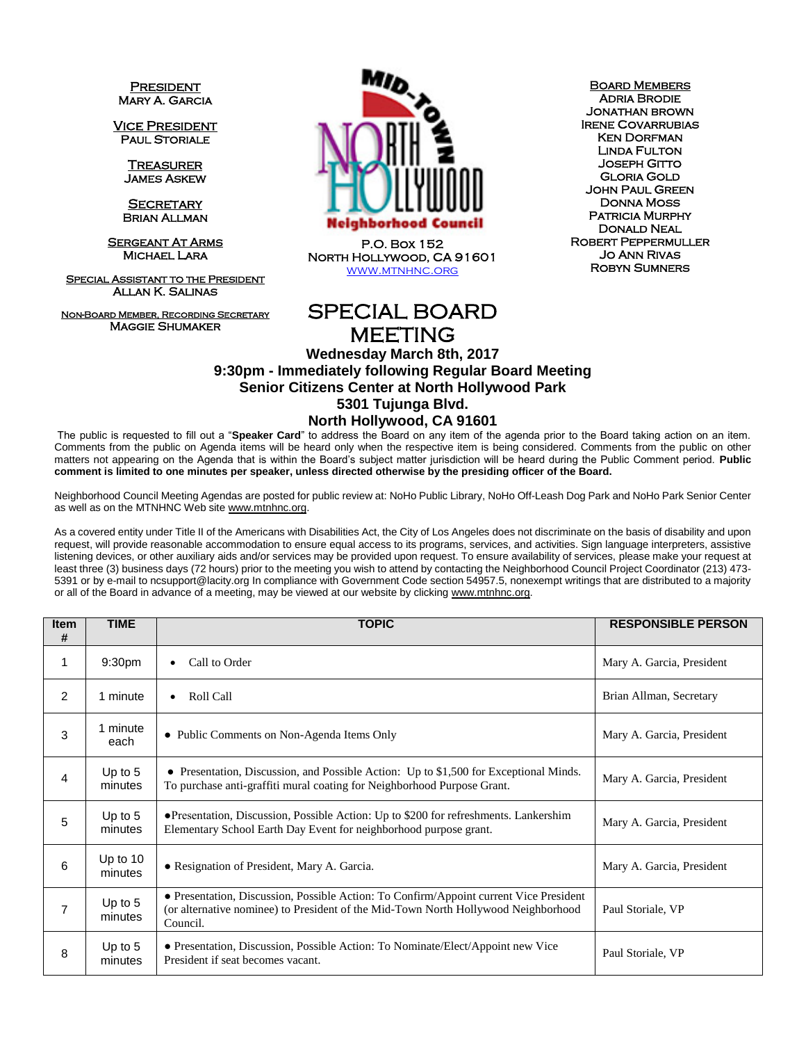**PRESIDENT** Mary A. Garcia

Vice President **PAUL STORIALE** 

> **TREASURER** James Askew

**SECRETARY** Brian Allman

**SERGEANT AT ARMS** Michael Lara

**SPECIAL ASSISTANT TO THE PRESIDENT** Allan K. Salinas

Non-Board Member, Recording Secretary Maggie Shumaker



P.O. Box 152 North Hollywood, CA 91601 [www.mtnhnc.org](http://www.mtnhnc.org/)

**BOARD MEMBERS** Adria Brodie Jonathan brown Irene Covarrubias Ken Dorfman Linda Fulton Joseph Gitto Gloria Gold John Paul Green Donna Moss PATRICIA MURPHY Donald Neal Robert Peppermuller Jo Ann Rivas Robyn Sumners

## SPECIAL BOARD MEETING

## **Wednesday March 8th, 2017 9:30pm - Immediately following Regular Board Meeting Senior Citizens Center at North Hollywood Park 5301 Tujunga Blvd. North Hollywood, CA 91601**

The public is requested to fill out a "**Speaker Card**" to address the Board on any item of the agenda prior to the Board taking action on an item. Comments from the public on Agenda items will be heard only when the respective item is being considered. Comments from the public on other matters not appearing on the Agenda that is within the Board's subject matter jurisdiction will be heard during the Public Comment period. **Public comment is limited to one minutes per speaker, unless directed otherwise by the presiding officer of the Board.** 

Neighborhood Council Meeting Agendas are posted for public review at: NoHo Public Library, NoHo Off-Leash Dog Park and NoHo Park Senior Center as well as on the MTNHNC Web sit[e www.mtnhnc.org.](http://www.mtnhnc.org/)

As a covered entity under Title II of the Americans with Disabilities Act, the City of Los Angeles does not discriminate on the basis of disability and upon request, will provide reasonable accommodation to ensure equal access to its programs, services, and activities. Sign language interpreters, assistive listening devices, or other auxiliary aids and/or services may be provided upon request. To ensure availability of services, please make your request at least three (3) business days (72 hours) prior to the meeting you wish to attend by contacting the Neighborhood Council Project Coordinator (213) 473- 5391 or by e-mail to ncsupport@lacity.org In compliance with Government Code section 54957.5, nonexempt writings that are distributed to a majority or all of the Board in advance of a meeting, may be viewed at our website by clicking www.mtnhnc.org.

| <b>Item</b><br># | <b>TIME</b>           | <b>TOPIC</b>                                                                                                                                                                             | <b>RESPONSIBLE PERSON</b> |
|------------------|-----------------------|------------------------------------------------------------------------------------------------------------------------------------------------------------------------------------------|---------------------------|
| 1                | 9:30pm                | Call to Order<br>$\bullet$                                                                                                                                                               | Mary A. Garcia, President |
| 2                | 1 minute              | Roll Call<br>$\bullet$                                                                                                                                                                   | Brian Allman, Secretary   |
| 3                | 1 minute<br>each      | • Public Comments on Non-Agenda Items Only                                                                                                                                               | Mary A. Garcia, President |
| 4                | Up to $5$<br>minutes  | • Presentation, Discussion, and Possible Action: Up to \$1,500 for Exceptional Minds.<br>To purchase anti-graffiti mural coating for Neighborhood Purpose Grant.                         | Mary A. Garcia, President |
| 5                | Up to $5$<br>minutes  | • Presentation, Discussion, Possible Action: Up to \$200 for refreshments. Lankershim<br>Elementary School Earth Day Event for neighborhood purpose grant.                               | Mary A. Garcia, President |
| 6                | Up to $10$<br>minutes | • Resignation of President, Mary A. Garcia.                                                                                                                                              | Mary A. Garcia, President |
| $\overline{7}$   | Up to $5$<br>minutes  | • Presentation, Discussion, Possible Action: To Confirm/Appoint current Vice President<br>(or alternative nominee) to President of the Mid-Town North Hollywood Neighborhood<br>Council. | Paul Storiale, VP         |
| 8                | Up to $5$<br>minutes  | • Presentation, Discussion, Possible Action: To Nominate/Elect/Appoint new Vice<br>President if seat becomes vacant.                                                                     | Paul Storiale, VP         |